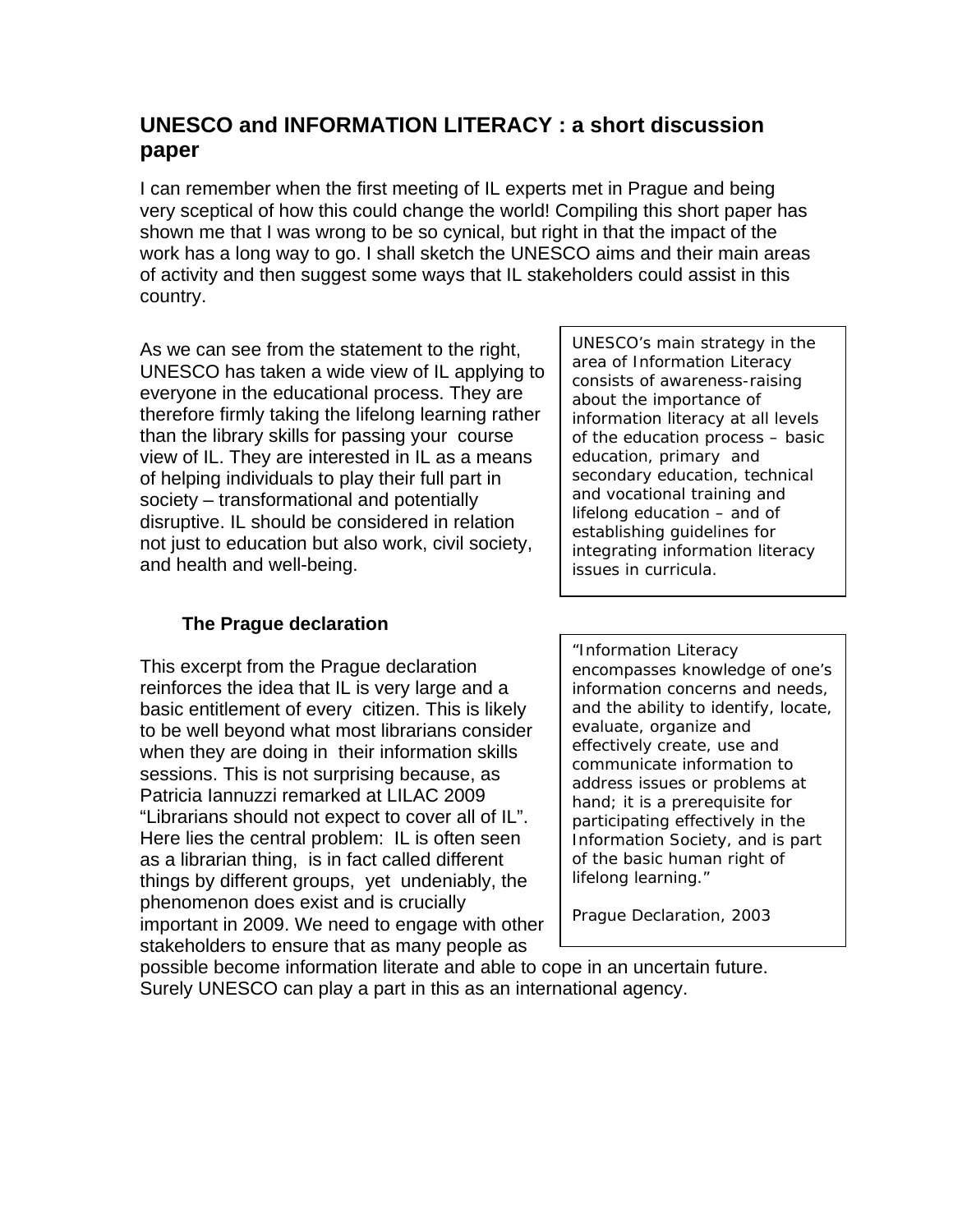# **UNESCO and INFORMATION LITERACY : a short discussion paper**

I can remember when the first meeting of IL experts met in Prague and being very sceptical of how this could change the world! Compiling this short paper has shown me that I was wrong to be so cynical, but right in that the impact of the work has a long way to go. I shall sketch the UNESCO aims and their main areas of activity and then suggest some ways that IL stakeholders could assist in this country.

As we can see from the statement to the right, UNESCO has taken a wide view of IL applying to everyone in the educational process. They are therefore firmly taking the lifelong learning rather than the library skills for passing your course view of IL. They are interested in IL as a means of helping individuals to play their full part in society – transformational and potentially disruptive. IL should be considered in relation not just to education but also work, civil society, and health and well-being.

# **The Prague declaration**

This excerpt from the Prague declaration reinforces the idea that IL is very large and a basic entitlement of every citizen. This is likely to be well beyond what most librarians consider when they are doing in their information skills sessions. This is not surprising because, as Patricia Iannuzzi remarked at LILAC 2009 "Librarians should not expect to cover all of IL". Here lies the central problem: IL is often seen as a librarian thing, is in fact called different things by different groups, yet undeniably, the phenomenon does exist and is crucially important in 2009. We need to engage with other stakeholders to ensure that as many people as

*UNESCO's main strategy in the area of Information Literacy consists of awareness-raising about the importance of information literacy at all levels of the education process – basic education, primary and secondary education, technical and vocational training and lifelong education – and of establishing guidelines for integrating information literacy issues in curricula.*

*"Information Literacy encompasses knowledge of one's information concerns and needs, and the ability to identify, locate, evaluate, organize and effectively create, use and communicate information to address issues or problems at hand; it is a prerequisite for participating effectively in the Information Society, and is part of the basic human right of lifelong learning."* 

*Prague Declaration, 2003* 

possible become information literate and able to cope in an uncertain future. Surely UNESCO can play a part in this as an international agency.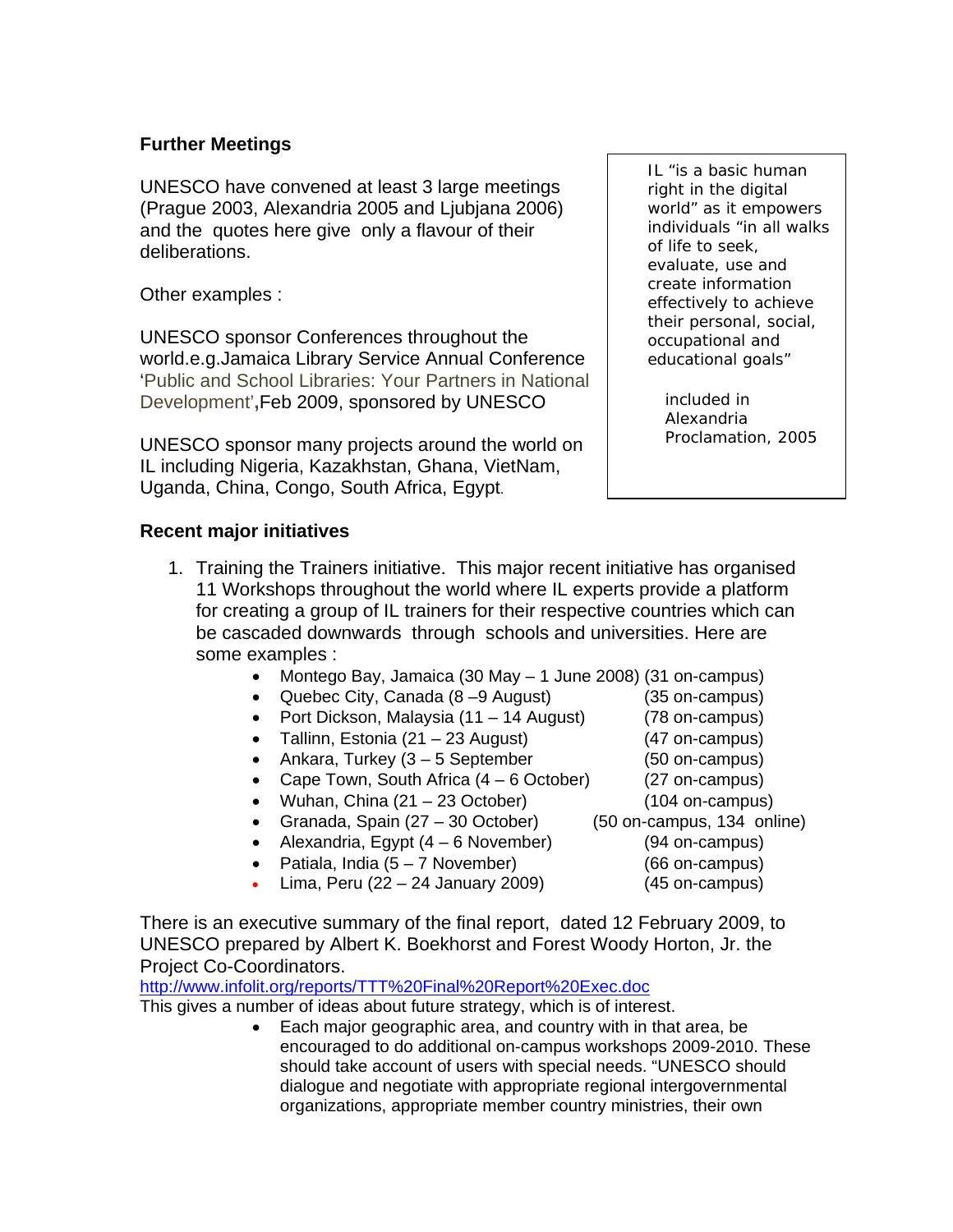#### **Further Meetings**

UNESCO have convened at least 3 large meetings (Prague 2003, Alexandria 2005 and Ljubjana 2006) and the quotes here give only a flavour of their deliberations.

Other examples :

UNESCO sponsor Conferences throughout the world.e.g.Jamaica Library Service Annual Conference 'Public and School Libraries: Your Partners in National Development'**,**Feb 2009, sponsored by UNESCO

UNESCO sponsor many projects around the world on IL including Nigeria, Kazakhstan, Ghana, VietNam, Uganda, China, Congo, South Africa, Egypt.

#### **Recent major initiatives**

- 1. Training the Trainers initiative. This major recent initiative has organised 11 Workshops throughout the world where IL experts provide a platform for creating a group of IL trainers for their respective countries which can be cascaded downwards through schools and universities. Here are some examples :
	- Montego Bay, Jamaica (30 May 1 June 2008) (31 on-campus)
	- Quebec City, Canada (8 –9 August) (35 on-campus)
	- Port Dickson, Malaysia (11 14 August) (78 on-campus)
	- Tallinn, Estonia (21 23 August) (47 on-campus)
	- Ankara, Turkey (3 5 September (50 on-campus)
	- Cape Town, South Africa (4 6 October) (27 on-campus)
	- Wuhan, China (21 23 October) (104 on-campus)
	- Granada, Spain (27 30 October) (50 on-campus, 134 online)
	- Alexandria, Egypt (4 6 November) (94 on-campus)
	- Patiala, India (5 7 November) (66 on-campus)
	- Lima, Peru (22 24 January 2009) (45 on-campus)

There is an executive summary of the final report, dated 12 February 2009, to UNESCO prepared by Albert K. Boekhorst and Forest Woody Horton, Jr. the Project Co-Coordinators.

http://www.infolit.org/reports/TTT%20Final%20Report%20Exec.doc

This gives a number of ideas about future strategy, which is of interest.

• Each major geographic area, and country with in that area, be encouraged to do additional on-campus workshops 2009-2010. These should take account of users with special needs. "UNESCO should dialogue and negotiate with appropriate regional intergovernmental organizations, appropriate member country ministries, their own

*IL "is a basic human right in the digital world" as it empowers individuals "in all walks of life to seek, evaluate, use and create information effectively to achieve their personal, social, occupational and educational goals"* 

*included in Alexandria Proclamation, 2005* 

- 
- 
- 
- 
- - -
- 
- - -
- 
- 
-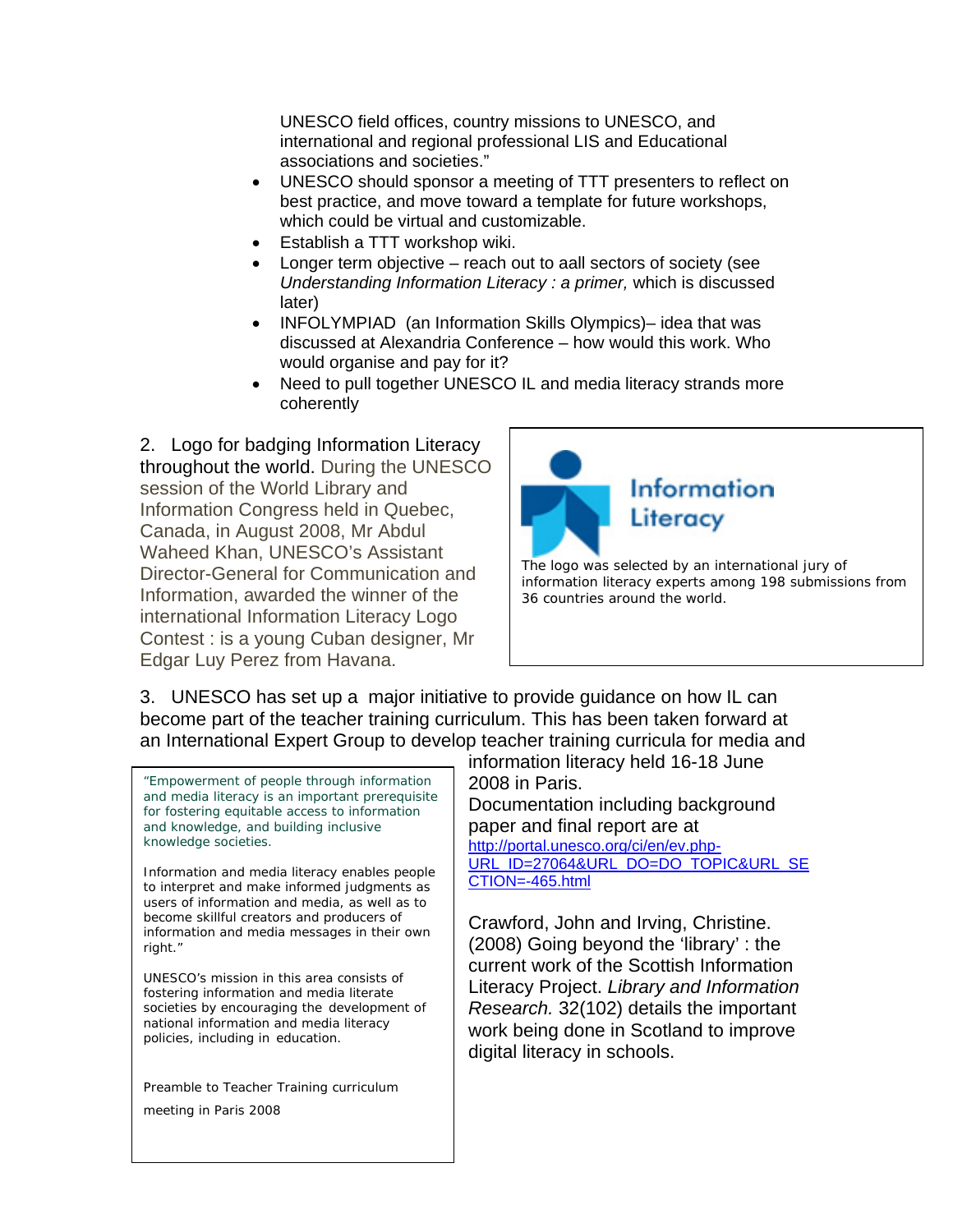UNESCO field offices, country missions to UNESCO, and international and regional professional LIS and Educational associations and societies."

- UNESCO should sponsor a meeting of TTT presenters to reflect on best practice, and move toward a template for future workshops, which could be virtual and customizable.
- Establish a TTT workshop wiki.
- Longer term objective reach out to aall sectors of society (see *Understanding Information Literacy : a primer,* which is discussed later)
- INFOLYMPIAD (an Information Skills Olympics)– idea that was discussed at Alexandria Conference – how would this work. Who would organise and pay for it?
- Need to pull together UNESCO IL and media literacy strands more coherently

2. Logo for badging Information Literacy throughout the world. During the UNESCO session of the World Library and Information Congress held in Quebec, Canada, in August 2008, Mr Abdul Waheed Khan, UNESCO's Assistant Director-General for Communication and Information, awarded the winner of the international Information Literacy Logo Contest : is a young Cuban designer, Mr Edgar Luy Perez from Havana.



3. UNESCO has set up a major initiative to provide guidance on how IL can become part of the teacher training curriculum. This has been taken forward at an International Expert Group to develop teacher training curricula for media and

*"Empowerment of people through information and media literacy is an important prerequisite for fostering equitable access to information and knowledge, and building inclusive knowledge societies.* 

*Information and media literacy enables people to interpret and make informed judgments as users of information and media, as well as to become skillful creators and producers of information and media messages in their own right."* 

*UNESCO's mission in this area consists of fostering information and media literate societies by encouraging the development of national information and media literacy policies, including in education.* 

Preamble to Teacher Training curriculum meeting in Paris 2008

information literacy held 16-18 June 2008 in Paris.

Documentation including background paper and final report are at http://portal.unesco.org/ci/en/ev.php-URL\_ID=27064&URL\_DO=DO\_TOPIC&URL\_SE CTION=-465.html

Crawford, John and Irving, Christine. (2008) Going beyond the 'library' : the current work of the Scottish Information Literacy Project. *Library and Information Research.* 32(102) details the important work being done in Scotland to improve digital literacy in schools.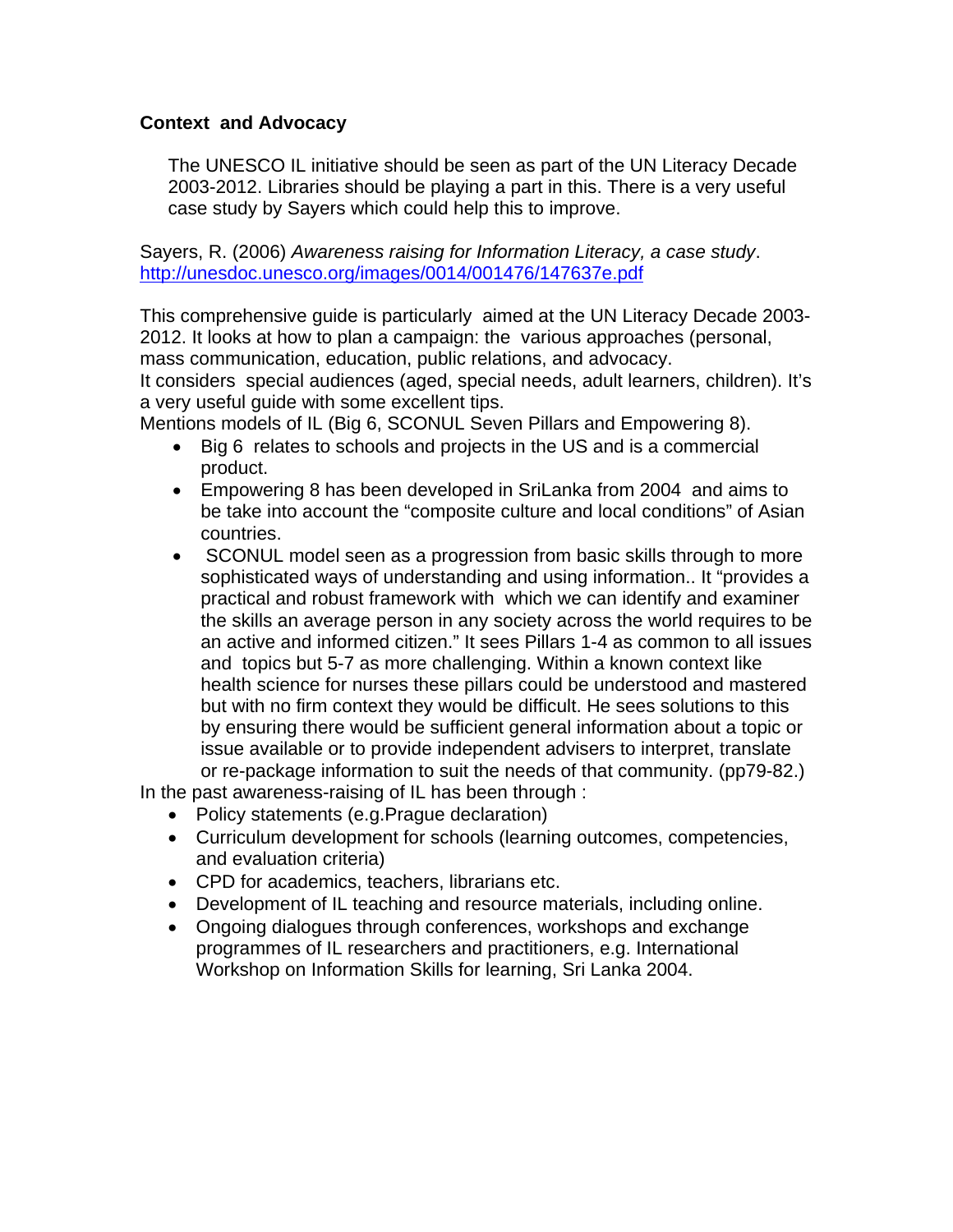#### **Context and Advocacy**

The UNESCO IL initiative should be seen as part of the UN Literacy Decade 2003-2012. Libraries should be playing a part in this. There is a very useful case study by Sayers which could help this to improve.

Sayers, R. (2006) *Awareness raising for Information Literacy, a case study*. http://unesdoc.unesco.org/images/0014/001476/147637e.pdf

This comprehensive guide is particularly aimed at the UN Literacy Decade 2003- 2012. It looks at how to plan a campaign: the various approaches (personal, mass communication, education, public relations, and advocacy.

It considers special audiences (aged, special needs, adult learners, children). It's a very useful guide with some excellent tips.

Mentions models of IL (Big 6, SCONUL Seven Pillars and Empowering 8).

- Big 6 relates to schools and projects in the US and is a commercial product.
- Empowering 8 has been developed in SriLanka from 2004 and aims to be take into account the "composite culture and local conditions" of Asian countries.
- SCONUL model seen as a progression from basic skills through to more sophisticated ways of understanding and using information.. It "provides a practical and robust framework with which we can identify and examiner the skills an average person in any society across the world requires to be an active and informed citizen." It sees Pillars 1-4 as common to all issues and topics but 5-7 as more challenging. Within a known context like health science for nurses these pillars could be understood and mastered but with no firm context they would be difficult. He sees solutions to this by ensuring there would be sufficient general information about a topic or issue available or to provide independent advisers to interpret, translate or re-package information to suit the needs of that community. (pp79-82.)

In the past awareness-raising of IL has been through :

- Policy statements (e.g.Prague declaration)
- Curriculum development for schools (learning outcomes, competencies, and evaluation criteria)
- CPD for academics, teachers, librarians etc.
- Development of IL teaching and resource materials, including online.
- Ongoing dialogues through conferences, workshops and exchange programmes of IL researchers and practitioners, e.g. International Workshop on Information Skills for learning, Sri Lanka 2004.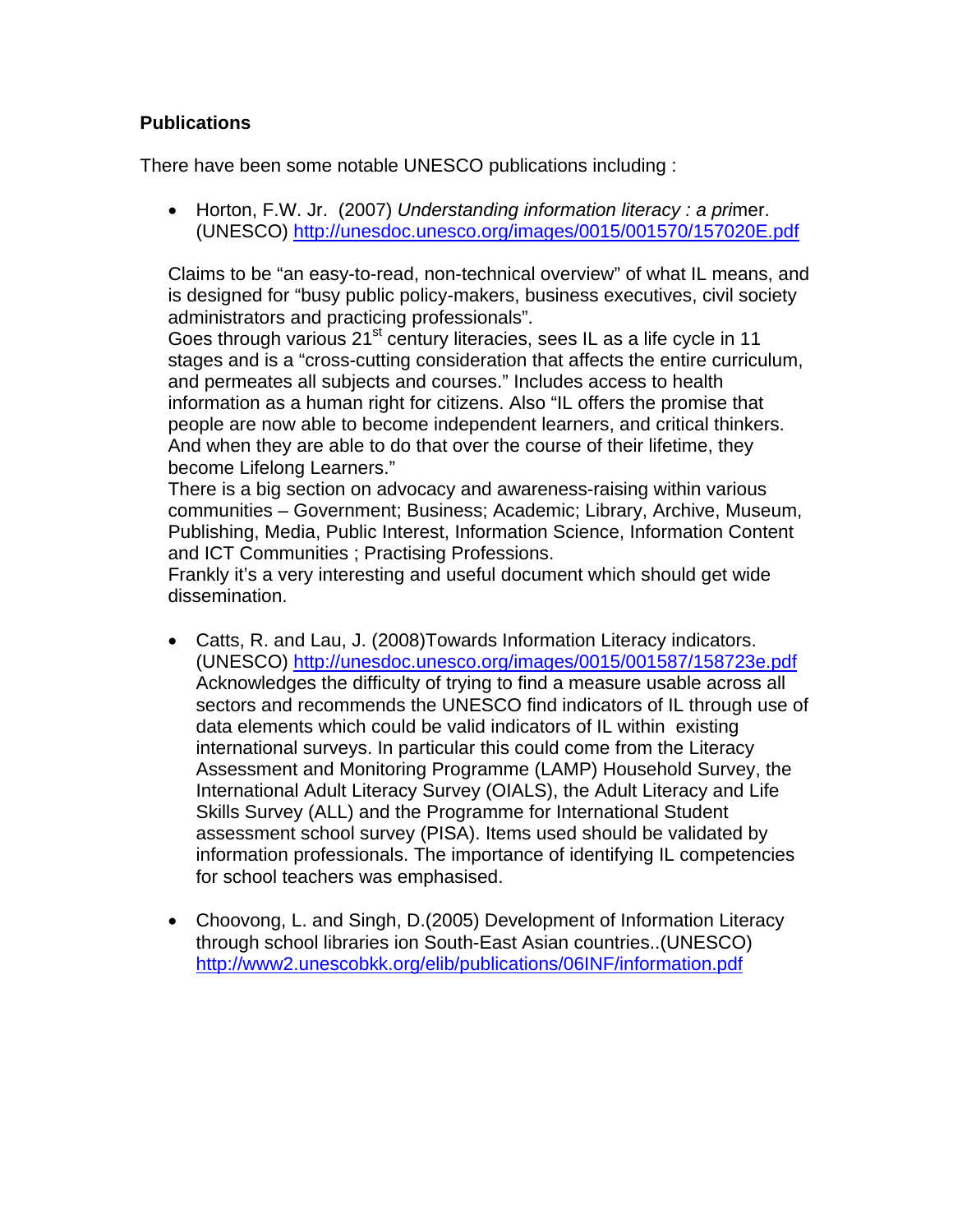## **Publications**

There have been some notable UNESCO publications including :

• Horton, F.W. Jr. (2007) *Understanding information literacy : a pri*mer. (UNESCO) http://unesdoc.unesco.org/images/0015/001570/157020E.pdf

Claims to be "an easy-to-read, non-technical overview" of what IL means, and is designed for "busy public policy-makers, business executives, civil society administrators and practicing professionals".

Goes through various 21<sup>st</sup> century literacies, sees IL as a life cycle in 11 stages and is a "cross-cutting consideration that affects the entire curriculum, and permeates all subjects and courses." Includes access to health information as a human right for citizens. Also "IL offers the promise that people are now able to become independent learners, and critical thinkers. And when they are able to do that over the course of their lifetime, they become Lifelong Learners."

There is a big section on advocacy and awareness-raising within various communities – Government; Business; Academic; Library, Archive, Museum, Publishing, Media, Public Interest, Information Science, Information Content and ICT Communities ; Practising Professions.

Frankly it's a very interesting and useful document which should get wide dissemination.

- Catts, R. and Lau, J. (2008)Towards Information Literacy indicators. (UNESCO) http://unesdoc.unesco.org/images/0015/001587/158723e.pdf Acknowledges the difficulty of trying to find a measure usable across all sectors and recommends the UNESCO find indicators of IL through use of data elements which could be valid indicators of IL within existing international surveys. In particular this could come from the Literacy Assessment and Monitoring Programme (LAMP) Household Survey, the International Adult Literacy Survey (OIALS), the Adult Literacy and Life Skills Survey (ALL) and the Programme for International Student assessment school survey (PISA). Items used should be validated by information professionals. The importance of identifying IL competencies for school teachers was emphasised.
- Choovong, L. and Singh, D.(2005) Development of Information Literacy through school libraries ion South-East Asian countries..(UNESCO) http://www2.unescobkk.org/elib/publications/06INF/information.pdf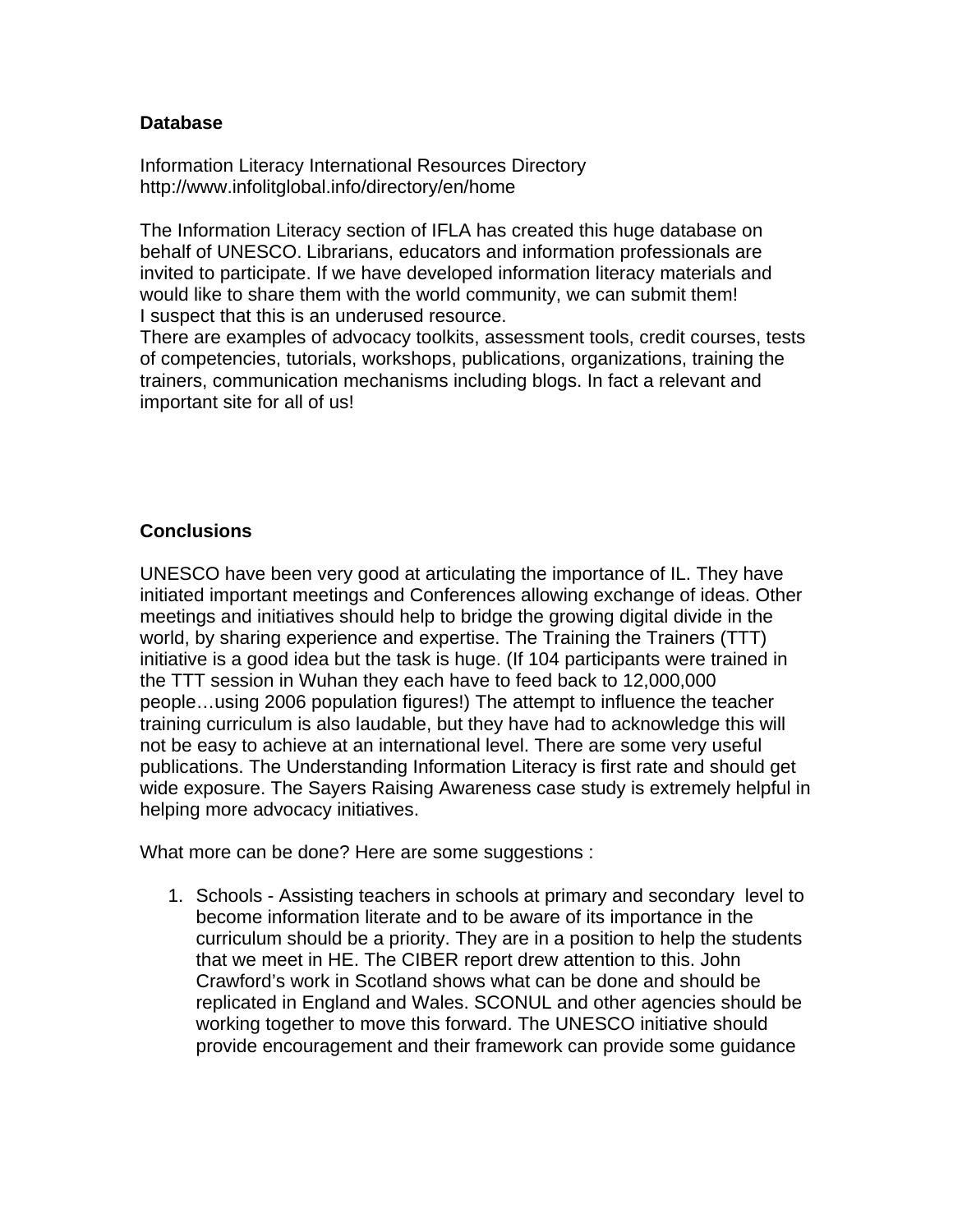#### **Database**

Information Literacy International Resources Directory http://www.infolitglobal.info/directory/en/home

The Information Literacy section of IFLA has created this huge database on behalf of UNESCO. Librarians, educators and information professionals are invited to participate. If we have developed information literacy materials and would like to share them with the world community, we can submit them! I suspect that this is an underused resource.

There are examples of advocacy toolkits, assessment tools, credit courses, tests of competencies, tutorials, workshops, publications, organizations, training the trainers, communication mechanisms including blogs. In fact a relevant and important site for all of us!

## **Conclusions**

UNESCO have been very good at articulating the importance of IL. They have initiated important meetings and Conferences allowing exchange of ideas. Other meetings and initiatives should help to bridge the growing digital divide in the world, by sharing experience and expertise. The Training the Trainers (TTT) initiative is a good idea but the task is huge. (If 104 participants were trained in the TTT session in Wuhan they each have to feed back to 12,000,000 people…using 2006 population figures!) The attempt to influence the teacher training curriculum is also laudable, but they have had to acknowledge this will not be easy to achieve at an international level. There are some very useful publications. The Understanding Information Literacy is first rate and should get wide exposure. The Sayers Raising Awareness case study is extremely helpful in helping more advocacy initiatives.

What more can be done? Here are some suggestions :

1. Schools - Assisting teachers in schools at primary and secondary level to become information literate and to be aware of its importance in the curriculum should be a priority. They are in a position to help the students that we meet in HE. The CIBER report drew attention to this. John Crawford's work in Scotland shows what can be done and should be replicated in England and Wales. SCONUL and other agencies should be working together to move this forward. The UNESCO initiative should provide encouragement and their framework can provide some guidance